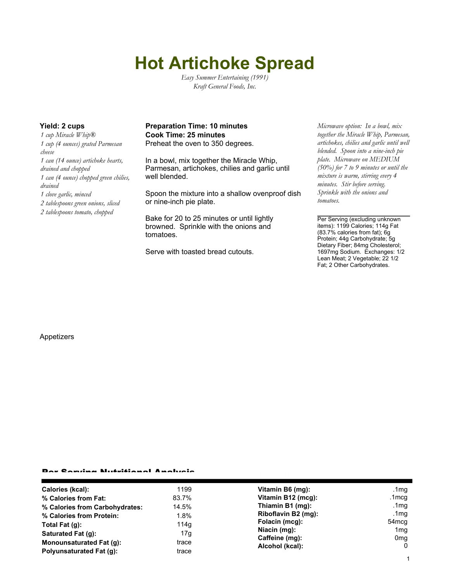# **Hot Artichoke Spread**

*Easy Summer Entertaining (1991) Kraft General Foods, Inc.*

*1 cup Miracle Whip® 1 cup (4 ounces) grated Parmesan cheese 1 can (14 ounce) artichoke hearts, drained and chopped 1 can (4 ounce) chopped green chilies, drained 1 clove garlic, minced 2 tablespoons green onions, sliced 2 tablespoons tomato, chopped*

# **Yield: 2 cups Preparation Time: 10 minutes** *Microwave option: In a bowl, mix* **Cook Time: 25 minutes**

Preheat the oven to 350 degrees.

In a bowl, mix together the Miracle Whip, Parmesan, artichokes, chilies and garlic until well blended.

Spoon the mixture into a shallow ovenproof dish or nine-inch pie plate.

Bake for 20 to 25 minutes or until lightly browned. Sprinkle with the onions and tomatoes.

Serve with toasted bread cutouts.

*together the Miracle Whip, Parmesan, artichokes, chilies and garlic until well blended. Spoon into a nine-inch pie plate. Microwave on MEDIUM (50%) for 7 to 9 minutes or until the mixture is warm, stirring every 4 minutes. Stir before serving. Sprinkle with the onions and tomatoes.*

Per Serving (excluding unknown items): 1199 Calories; 114g Fat (83.7% calories from fat); 6g Protein; 44g Carbohydrate; 5g Dietary Fiber; 84mg Cholesterol; 1697mg Sodium. Exchanges: 1/2 Lean Meat; 2 Vegetable; 22 1/2 Fat; 2 Other Carbohydrates.

### Appetizers

#### Per Serving Nutritional Analysis

| Calories (kcal):               | 1199  | Vitamin B6 (mg):                                                    | .1 $mg$           |
|--------------------------------|-------|---------------------------------------------------------------------|-------------------|
| % Calories from Fat:           | 83.7% | Vitamin B12 (mcg):                                                  | .1mcg             |
| % Calories from Carbohydrates: | 14.5% | Thiamin B1 (mg):                                                    | .1 $mg$           |
| % Calories from Protein:       | 1.8%  | Riboflavin B2 (mg):                                                 | .1mg              |
| Total Fat $(q)$ :              | 114q  | Folacin (mcg):<br>Niacin (mg):<br>Caffeine (mg):<br>Alcohol (kcal): | 54 <sub>mcg</sub> |
| Saturated Fat (g):             | 17g   |                                                                     | 1 <sub>mg</sub>   |
| Monounsaturated Fat (g):       | trace |                                                                     | 0 <sub>mg</sub>   |
| Polyunsaturated Fat (q):       | trace |                                                                     | $\mathbf{0}$      |
|                                |       |                                                                     |                   |